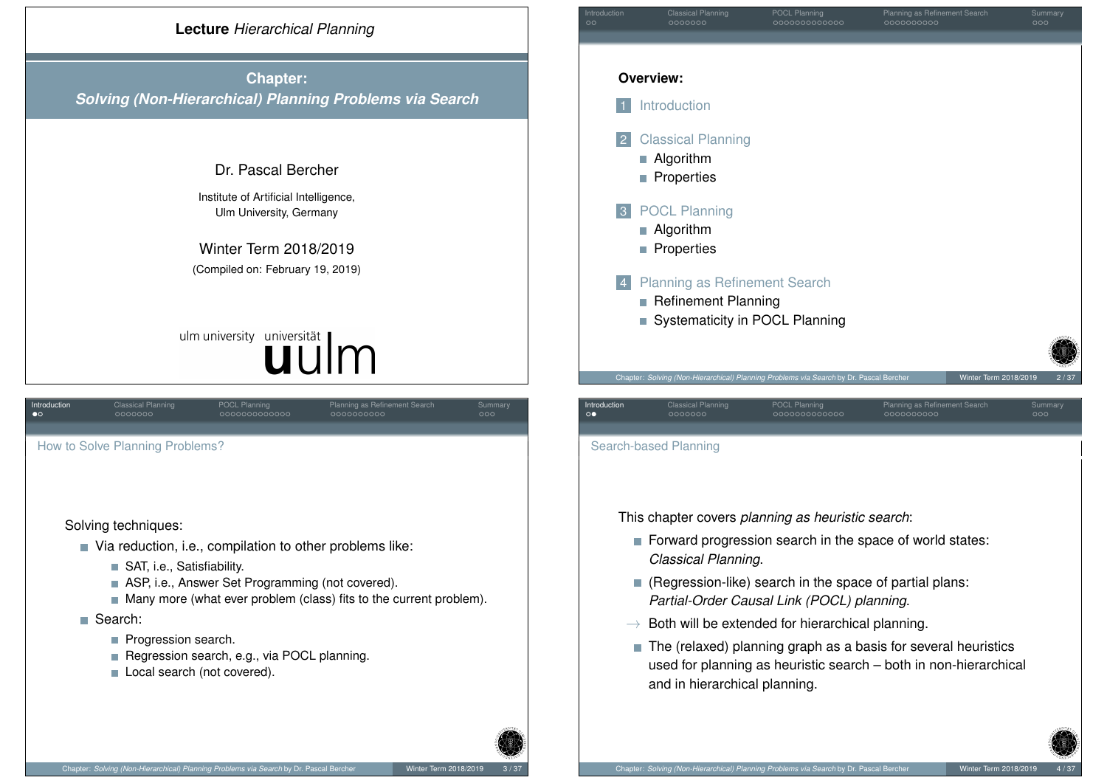

**Chapter:** *Solving (Non-Hierarchical) Planning Problems via Search*

# Dr. Pascal Bercher

Institute of Artificial Intelligence, Ulm University, Germany

Winter Term 2018/2019 (Compiled on: February 19, 2019)

# ulm university universität uulm

<span id="page-0-0"></span>

| Introduction<br>$\bullet$ o                                        | <b>Classical Planning</b><br>0000000                              | <b>POCL Planning</b><br>0000000000000                      | Planning as Refinement Search<br>0000000000 | Summary<br>000 |  |  |  |
|--------------------------------------------------------------------|-------------------------------------------------------------------|------------------------------------------------------------|---------------------------------------------|----------------|--|--|--|
|                                                                    |                                                                   |                                                            |                                             |                |  |  |  |
|                                                                    | How to Solve Planning Problems?                                   |                                                            |                                             |                |  |  |  |
|                                                                    |                                                                   |                                                            |                                             |                |  |  |  |
|                                                                    |                                                                   |                                                            |                                             |                |  |  |  |
|                                                                    | Solving techniques:                                               |                                                            |                                             |                |  |  |  |
|                                                                    |                                                                   | ■ Via reduction, i.e., compilation to other problems like: |                                             |                |  |  |  |
|                                                                    | SAT, <i>i.e.</i> , Satisfiability.<br>$\mathcal{L}_{\mathcal{A}}$ |                                                            |                                             |                |  |  |  |
|                                                                    | ASP, i.e., Answer Set Programming (not covered).                  |                                                            |                                             |                |  |  |  |
| Many more (what ever problem (class) fits to the current problem). |                                                                   |                                                            |                                             |                |  |  |  |
|                                                                    | <b>■ Search:</b>                                                  |                                                            |                                             |                |  |  |  |
|                                                                    | Progression search.                                               |                                                            |                                             |                |  |  |  |
|                                                                    |                                                                   | Regression search, e.g., via POCL planning.                |                                             |                |  |  |  |
|                                                                    | Local search (not covered).                                       |                                                            |                                             |                |  |  |  |

| Introduction<br>$\circ$ |                | <b>Classical Planning</b><br>0000000                                                                 | POCL Planning<br>000000000000 | Planning as Refinement Search<br>0000000000 | Summary<br>000                |
|-------------------------|----------------|------------------------------------------------------------------------------------------------------|-------------------------------|---------------------------------------------|-------------------------------|
|                         |                |                                                                                                      |                               |                                             |                               |
|                         |                | <b>Overview:</b>                                                                                     |                               |                                             |                               |
|                         |                | Introduction                                                                                         |                               |                                             |                               |
|                         | $\sqrt{2}$     | <b>Classical Planning</b><br>Algorithm<br>П<br>Properties                                            |                               |                                             |                               |
|                         | 3              | <b>POCL Planning</b><br>Algorithm<br>Properties                                                      |                               |                                             |                               |
|                         | $\overline{4}$ | <b>Planning as Refinement Search</b><br><b>Refinement Planning</b><br>Systematicity in POCL Planning |                               |                                             |                               |
|                         |                |                                                                                                      |                               |                                             |                               |
|                         |                | Chapter: Solving (Non-Hierarchical) Planning Problems via Search by Dr. Pascal Bercher               |                               |                                             | Winter Term 2018/2019<br>2/37 |

Search-based Planning

This chapter covers *planning as heuristic search*:

Forward progression search in the space of world states: *Classical Planning*.

**Introduction** Classical Planning POCL Planning POCL Planning Planning as Refinement Search Summary

- Regression-like) search in the space of partial plans: *Partial-Order Causal Link (POCL) planning*.
- $\rightarrow$  Both will be extended for hierarchical planning.
- The (relaxed) planning graph as a basis for several heuristics used for planning as heuristic search – both in non-hierarchical and in hierarchical planning.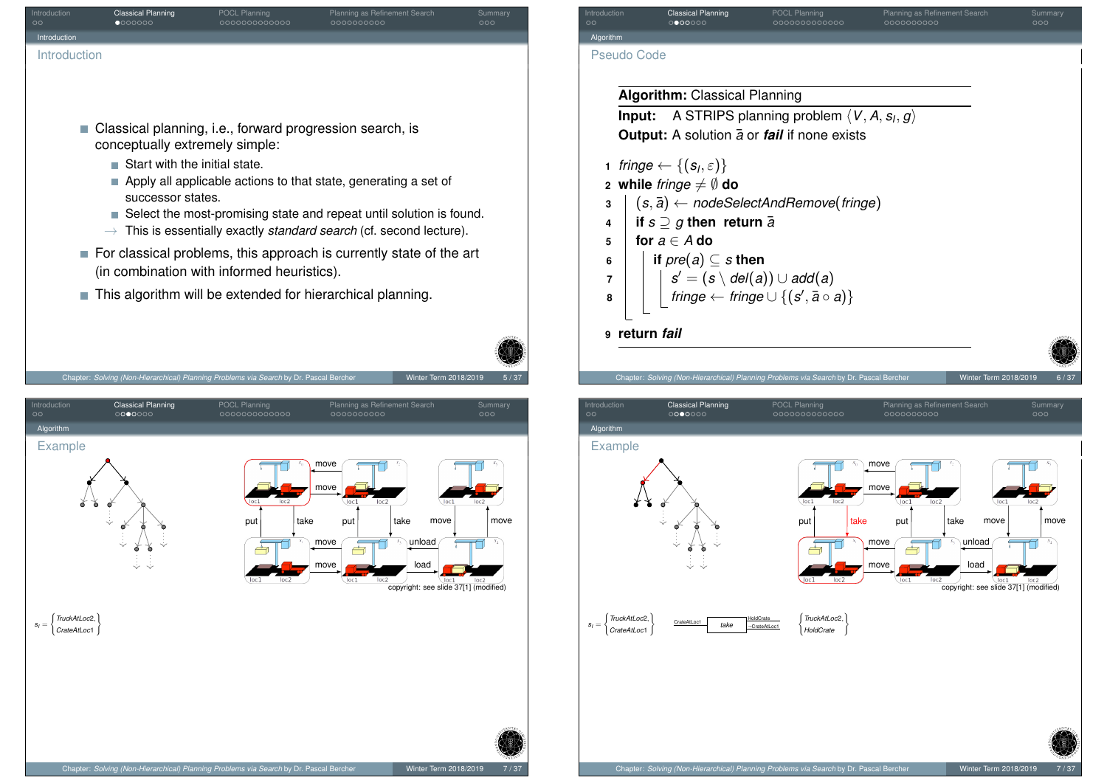<span id="page-1-0"></span>

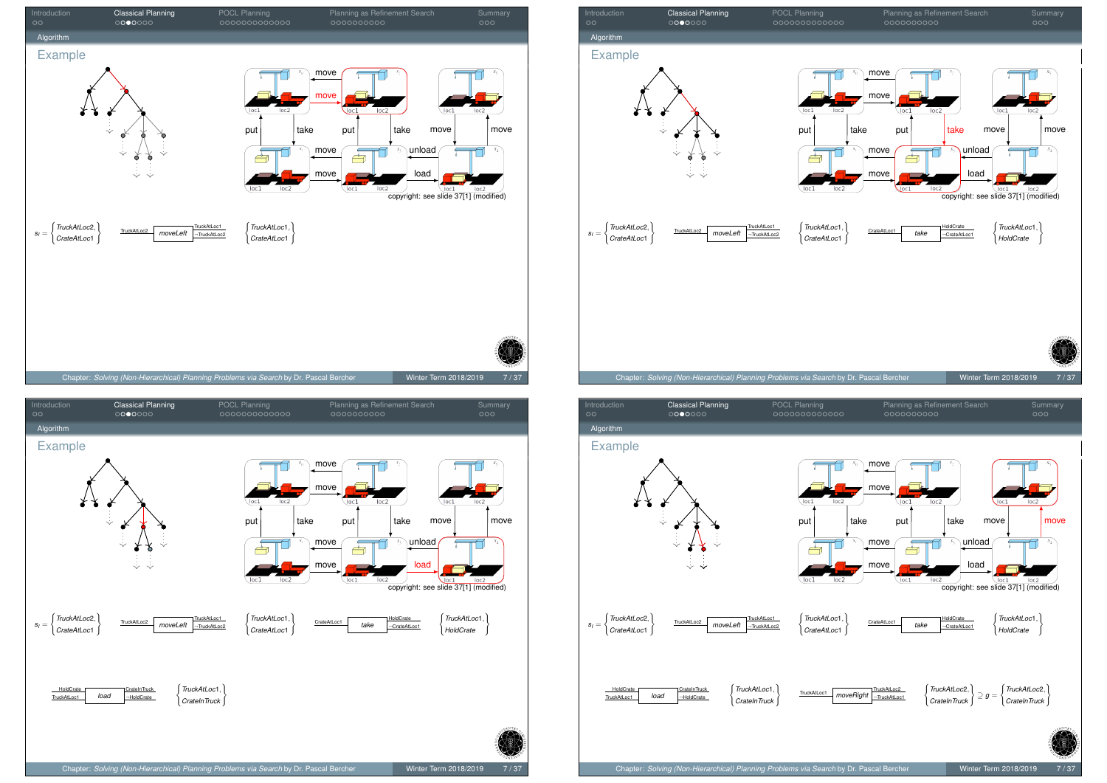

п і رکے move load  $loc 2$ loc2  $loc$ copyright: see slide 37[1] (modified) *TruckAtLoc*1, ( *TruckAtLoc*2,  $\mathcal{L}$ TruckAtLoc2 moveLeft TruckAtLoc1  $\left\{\begin{matrix} \frac{1}{2} & \frac{1}{2} \\ \frac{1}{2} & \frac{1}{2} \\ \frac{1}{2} & \frac{1}{2} \end{matrix}\right\}$ TruckAtLoc1  $\mathcal{L}$ HoldCrate *TruckAtLoc*1, *HoldCrate* ) <u>CrateAtLoc1</u> take <del>CrateAtLoc1</del> (*CrateAtLocide* ) *HoldCrate take* ¬TruckAtLoc2 ¬CrateAtLoc1 *CrateAtLoc*1 *CrateAtLoc*1 HoldCrate CrateInTruck<br>
TruckAtLoc1 *load* HoldCrate 1 *TruckAtLoc*1, HoldCrate *load CrateInTruck* )





 $s_I =$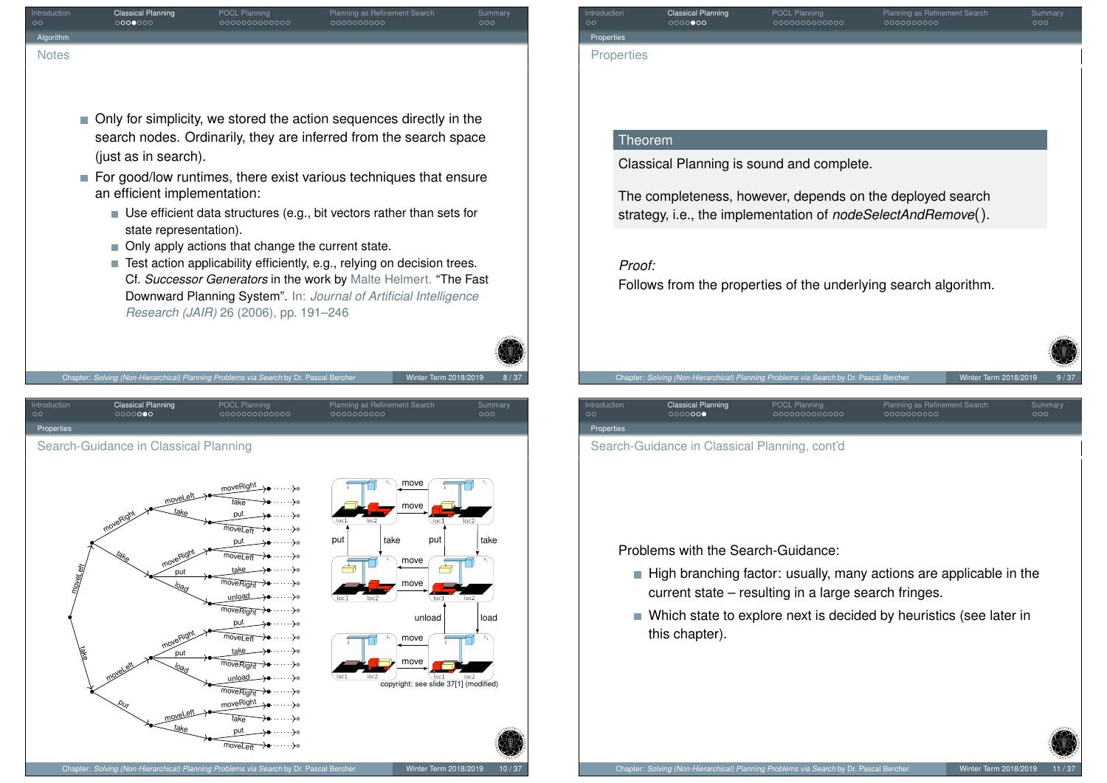| ntroduction<br>Algorithm  | <b>Classical Planning</b><br>0000000                                           | POCL Planning<br>000000000000                                                                                                                                                                                        | Planning as Refinement Search<br>0000000000                                                                                                                                                                                                                                                                                                                                                                                                                                                                    | Summary<br>000         | Introduction<br>$\circ$<br>Properties | <b>Classical Planning</b><br>00000000                | POCL Planning<br>000000000000                                                                                           | Planning as Refinement Search<br>000000000                                                                                                                                                   | Summary<br>000                                  |
|---------------------------|--------------------------------------------------------------------------------|----------------------------------------------------------------------------------------------------------------------------------------------------------------------------------------------------------------------|----------------------------------------------------------------------------------------------------------------------------------------------------------------------------------------------------------------------------------------------------------------------------------------------------------------------------------------------------------------------------------------------------------------------------------------------------------------------------------------------------------------|------------------------|---------------------------------------|------------------------------------------------------|-------------------------------------------------------------------------------------------------------------------------|----------------------------------------------------------------------------------------------------------------------------------------------------------------------------------------------|-------------------------------------------------|
| <b>Notes</b>              |                                                                                |                                                                                                                                                                                                                      |                                                                                                                                                                                                                                                                                                                                                                                                                                                                                                                |                        | <b>Properties</b>                     |                                                      |                                                                                                                         |                                                                                                                                                                                              |                                                 |
|                           | (just as in search).<br>an efficient implementation:<br>state representation). | • Only apply actions that change the current state.<br>Research (JAIR) 26 (2006), pp. 191-246                                                                                                                        | ■ Only for simplicity, we stored the action sequences directly in the<br>search nodes. Ordinarily, they are inferred from the search space<br>For good/low runtimes, there exist various techniques that ensure<br>■ Use efficient data structures (e.g., bit vectors rather than sets for<br>Test action applicability efficiently, e.g., relying on decision trees.<br>Cf. Successor Generators in the work by Malte Helmert. "The Fast<br>Downward Planning System". In: Journal of Artificial Intelligence |                        | <b>Theorem</b><br>Proof:              |                                                      | Classical Planning is sound and complete.                                                                               | The completeness, however, depends on the deployed search<br>strategy, i.e., the implementation of nodeSelectAndRemove().<br>Follows from the properties of the underlying search algorithm. |                                                 |
| าtroduction<br>Properties | <b>Classical Planning</b><br>0000000                                           | Chapter: Solving (Non-Hierarchical) Planning Problems via Search by Dr. Pascal Bercher<br>POCL Planning<br>000000000000                                                                                              | Winter Term 2018/2019<br>Planning as Refinement Search<br>0000000000                                                                                                                                                                                                                                                                                                                                                                                                                                           | 8/37<br>Summary<br>000 | Introduction<br>$\circ$<br>Properties | <b>Classical Planning</b><br>0000000                 | Chapter: Solving (Non-Hierarchical) Planning Problems via Search by Dr. Pascal Bercher<br>POCL Planning<br>000000000000 | Planning as Refinement Search<br>0000000000                                                                                                                                                  | Winter Term 2018/2019<br>9/37<br>Summary<br>000 |
|                           | Search-Guidance in Classical Planning                                          |                                                                                                                                                                                                                      |                                                                                                                                                                                                                                                                                                                                                                                                                                                                                                                |                        |                                       | Search-Guidance in Classical Planning, cont'd        |                                                                                                                         |                                                                                                                                                                                              |                                                 |
|                           | moveLeft<br>put<br>put                                                         | moveRight<br>- >⊛<br>……><br>noveLeff<br>put<br><b>loveLeff</b><br>moveRight ><br>$\cdots$ ) $\bullet$<br>moveRight<br>put<br>…⇒≽∎<br>moveLeft<br>⊶≽∙<br>. }<br>noveRight<br>unload<br>⊶⊶≽∎<br>noveRight<br>moveRight | move<br>put<br>take<br>put<br>move<br>$\sqrt{\log 1}$<br>loc1<br>loc2<br>unload<br>move<br>move<br>copyright: see slide 37[1] (modified)                                                                                                                                                                                                                                                                                                                                                                       | take<br>loc2<br>load   |                                       | Problems with the Search-Guidance:<br>this chapter). | current state – resulting in a large search fringes.                                                                    | High branching factor: usually, many actions are applicable in the<br>■ Which state to explore next is decided by heuristics (see later in                                                   |                                                 |
|                           | take                                                                           | put<br>$\cdots$ ) $\bullet$                                                                                                                                                                                          |                                                                                                                                                                                                                                                                                                                                                                                                                                                                                                                |                        |                                       |                                                      |                                                                                                                         |                                                                                                                                                                                              | <b>PARTICIPATION</b>                            |

<span id="page-3-0"></span> $\overbrace{\text{moveLeft}}$  +  $\cdots$  +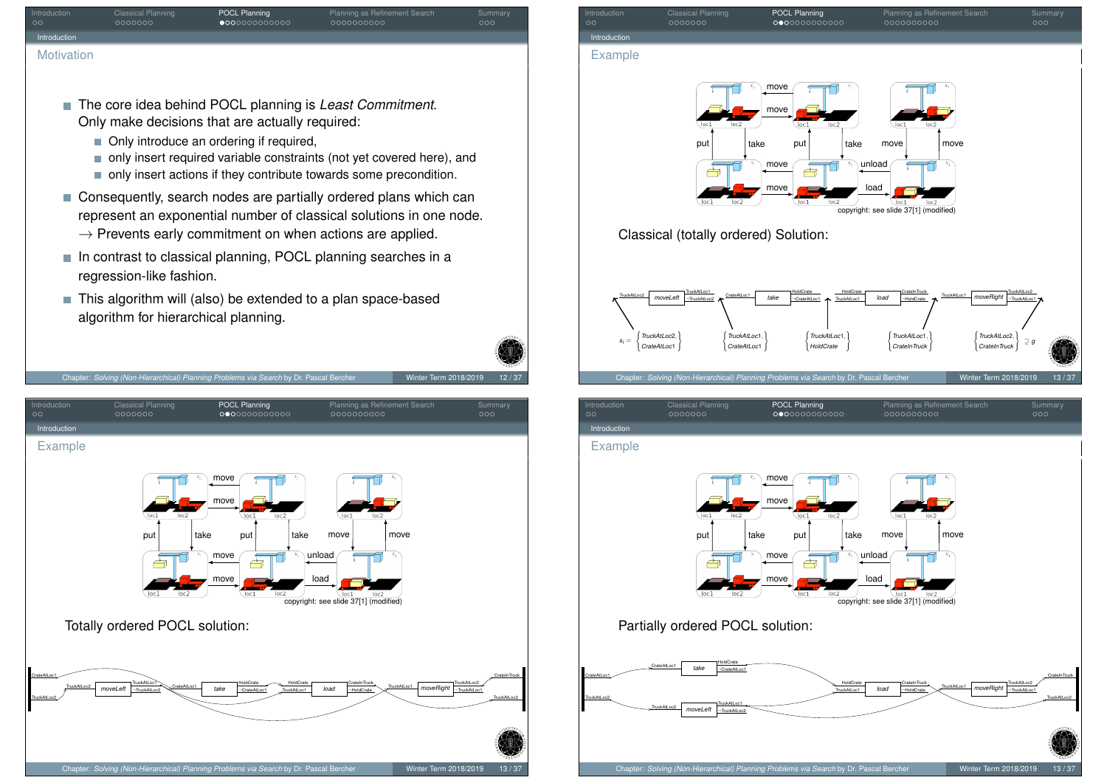| Summary<br>000                                            |
|-----------------------------------------------------------|
|                                                           |
|                                                           |
|                                                           |
|                                                           |
|                                                           |
|                                                           |
|                                                           |
| ■ The core idea behind POCL planning is Least Commitment. |

- only insert required variable constraints (not yet covered here), and
- only insert actions if they contribute towards some precondition.
- Consequently, search nodes are partially ordered plans which can represent an exponential number of classical solutions in one node.
	- $\rightarrow$  Prevents early commitment on when actions are applied.
- $\blacksquare$  In contrast to classical planning, POCL planning searches in a regression-like fashion.
- This algorithm will (also) be extended to a plan space-based algorithm for hierarchical planning.

<span id="page-4-0"></span>



*moveLeft*

TruckAtLoc2

TruckAtLoc1 ¬TruckAtLoc2

TruckAtLoc2

TruckAtLoc2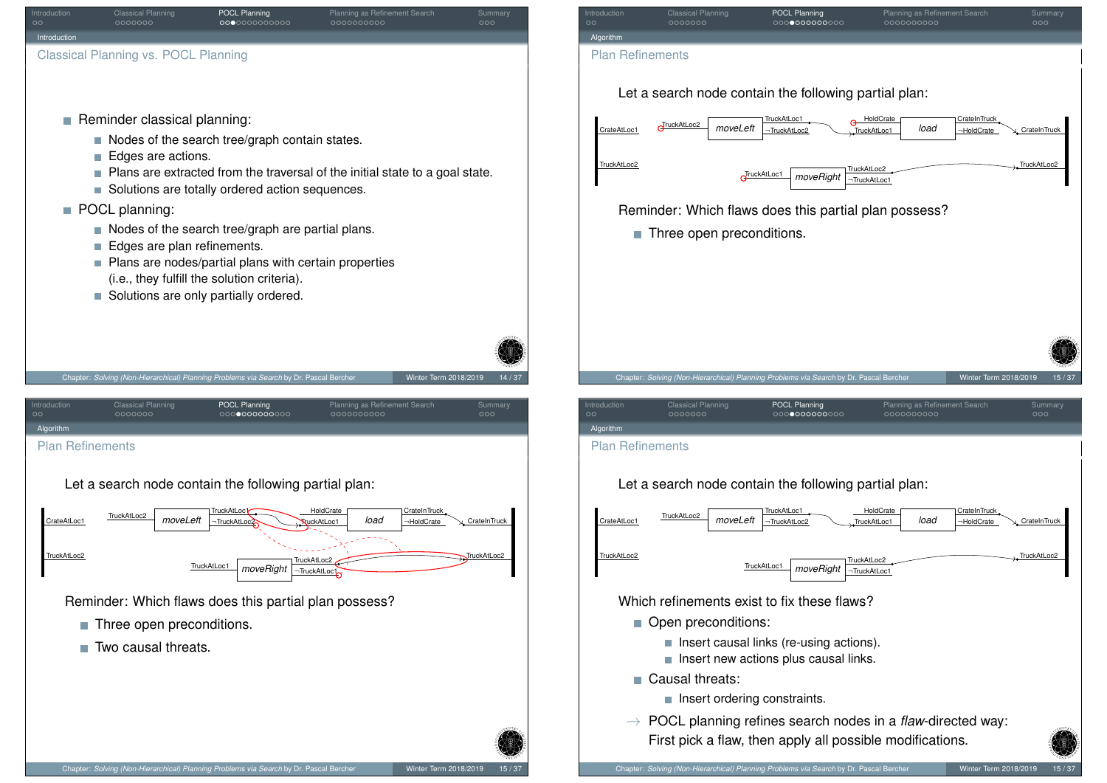<span id="page-5-0"></span>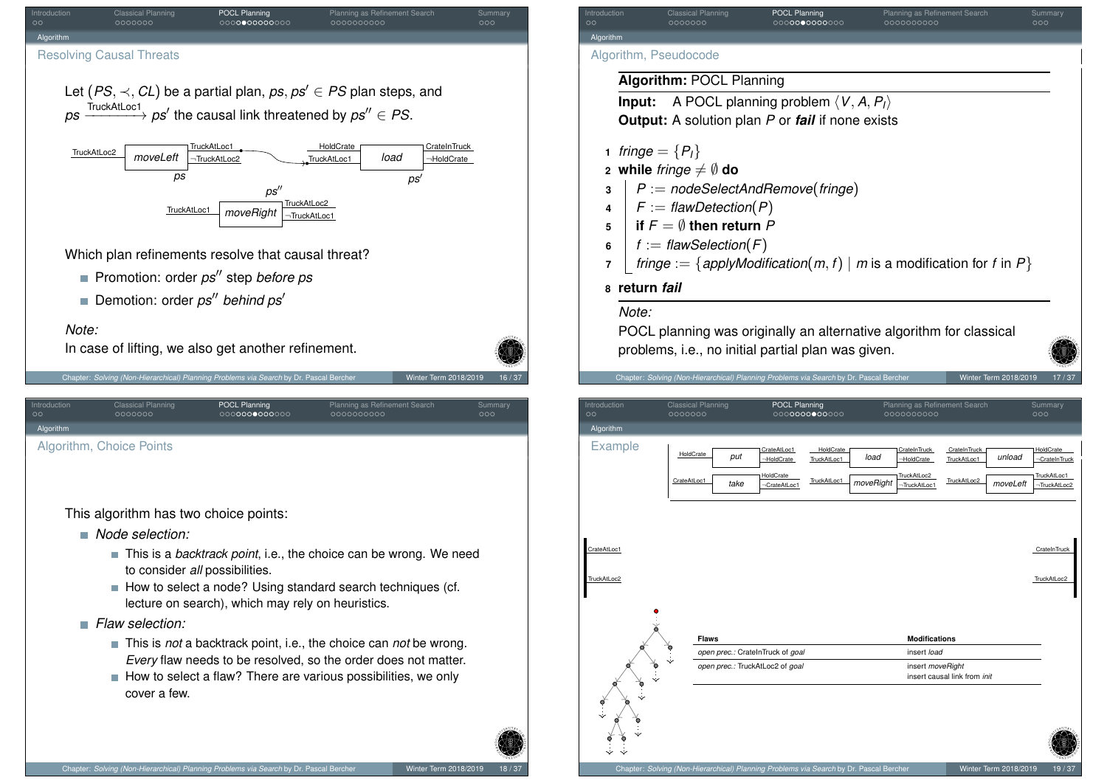<span id="page-6-0"></span>

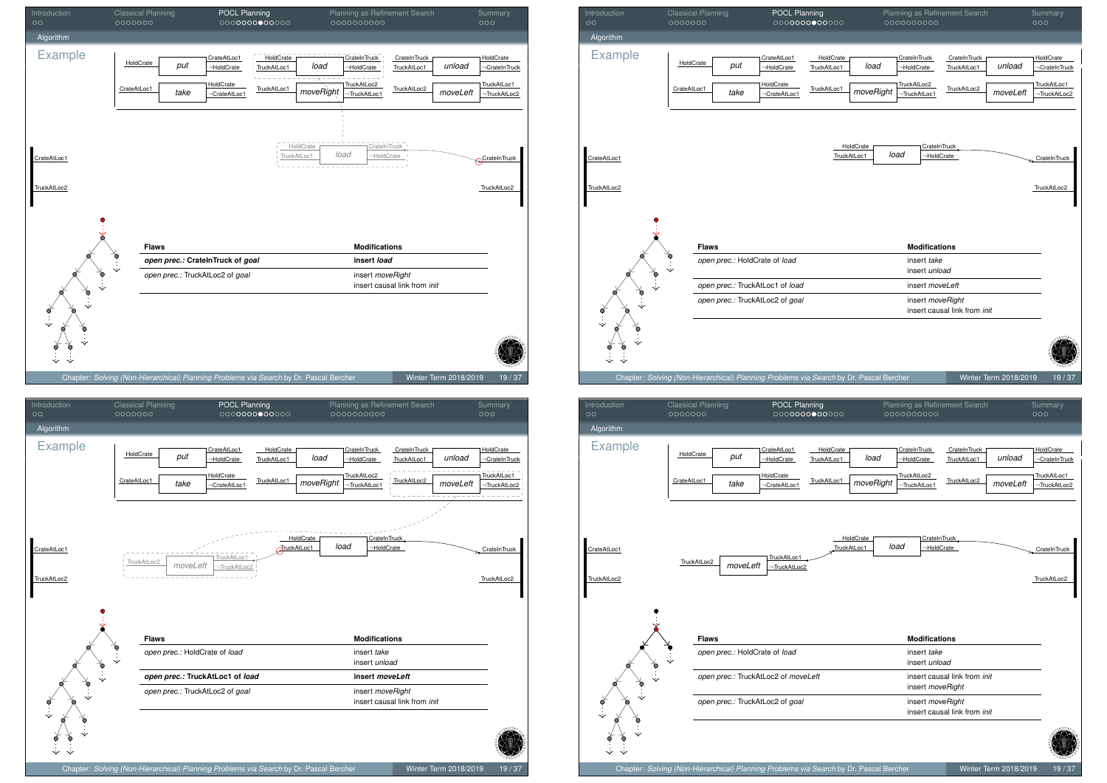





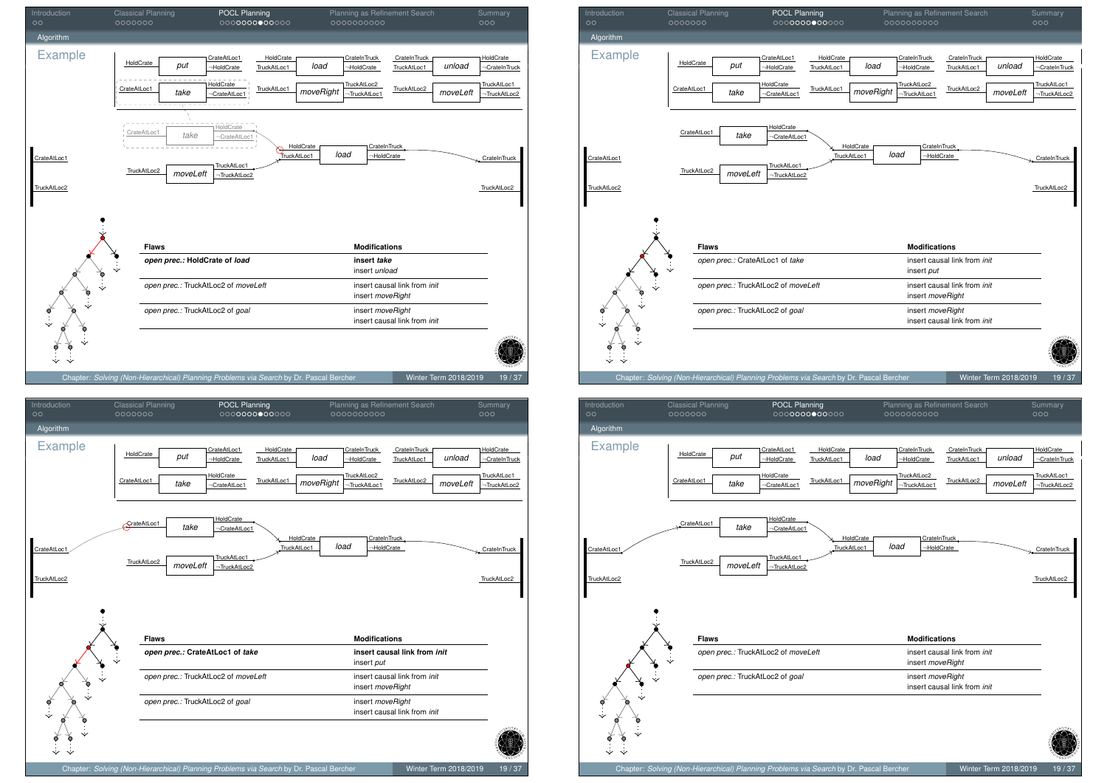





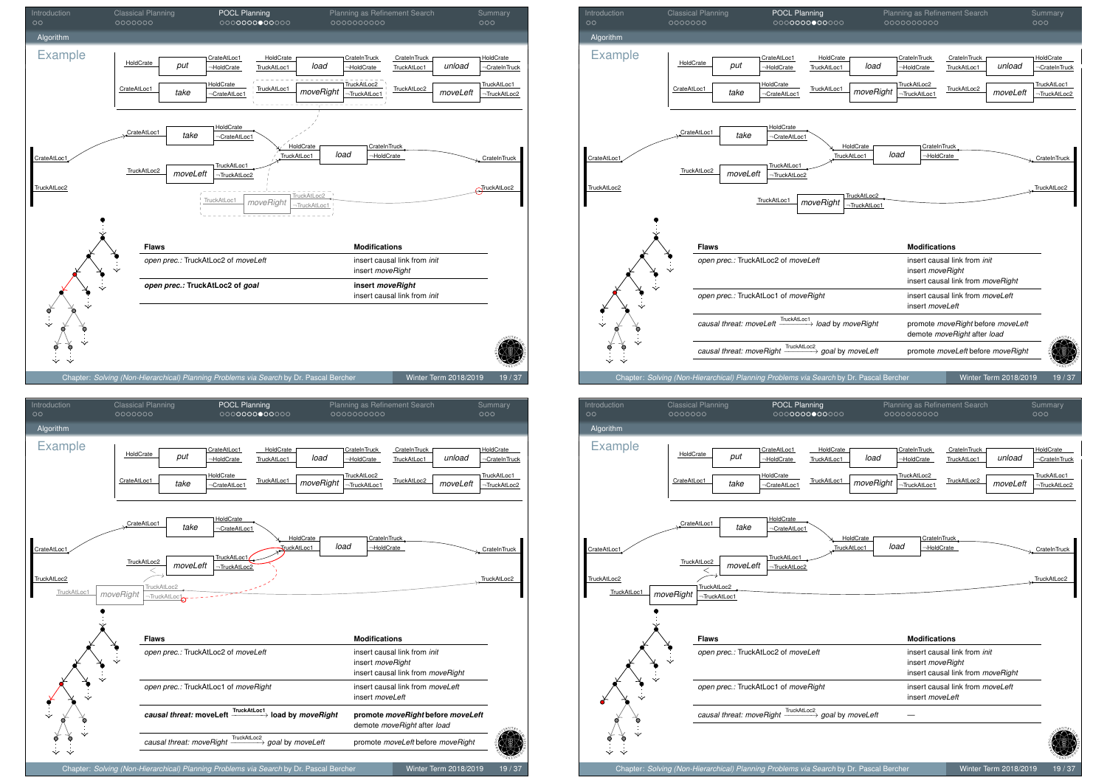





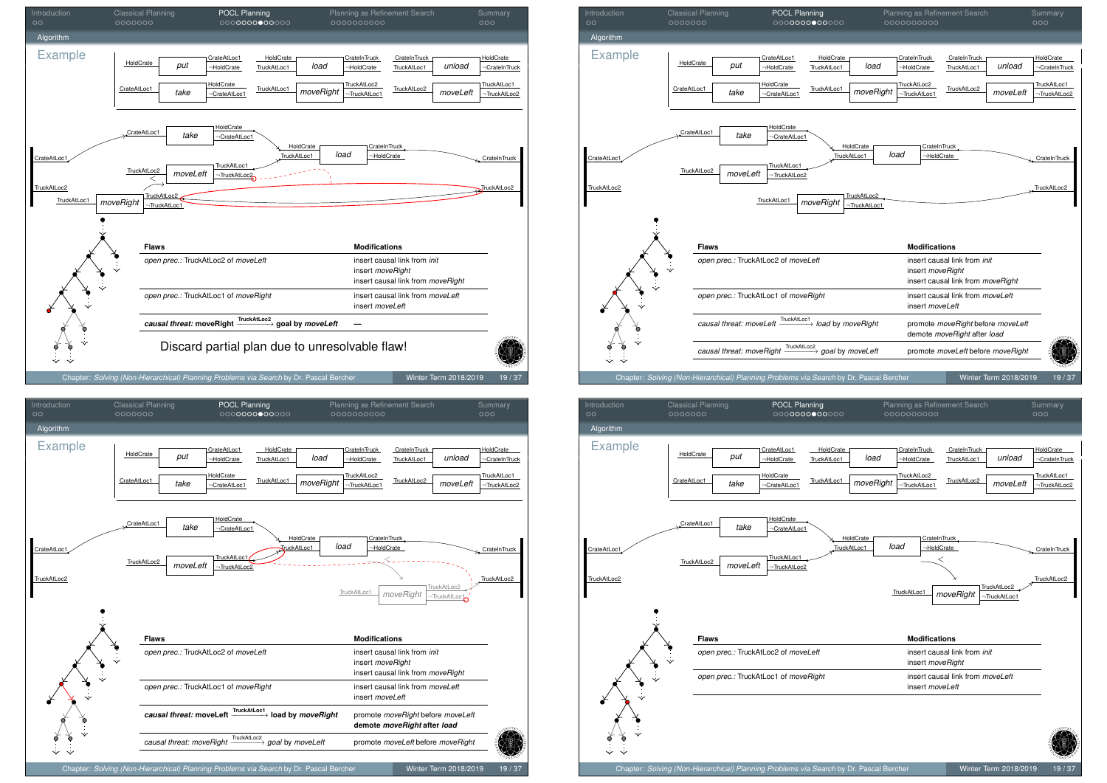









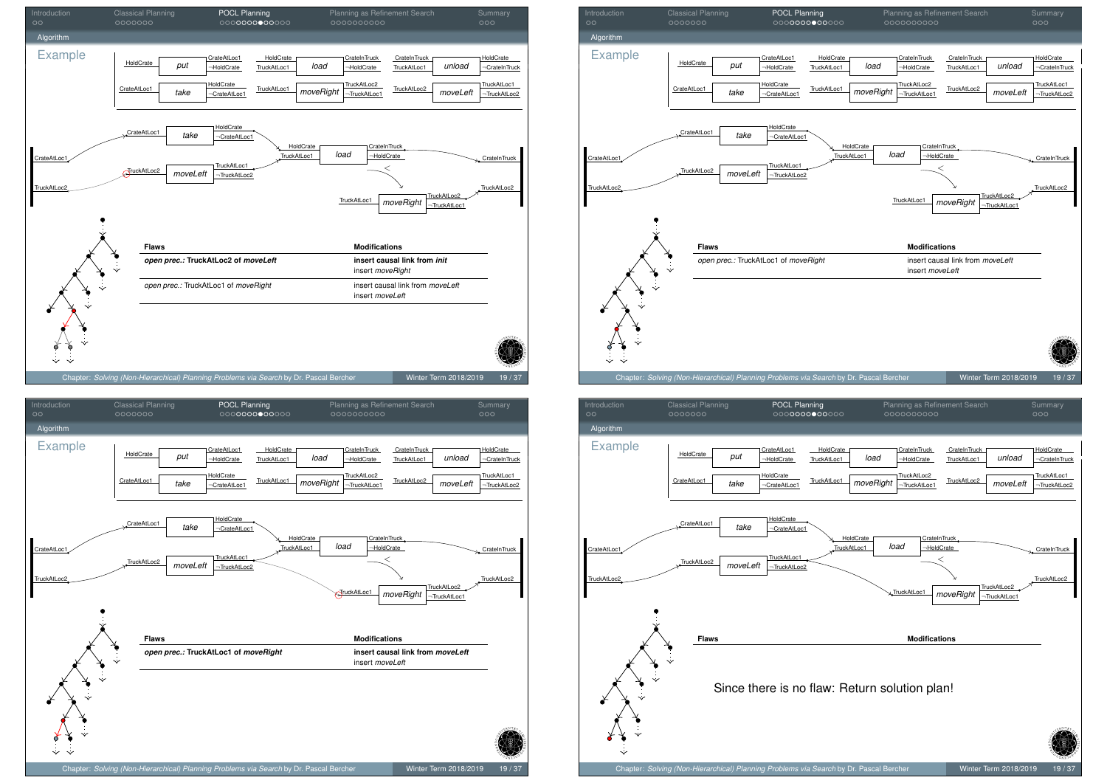





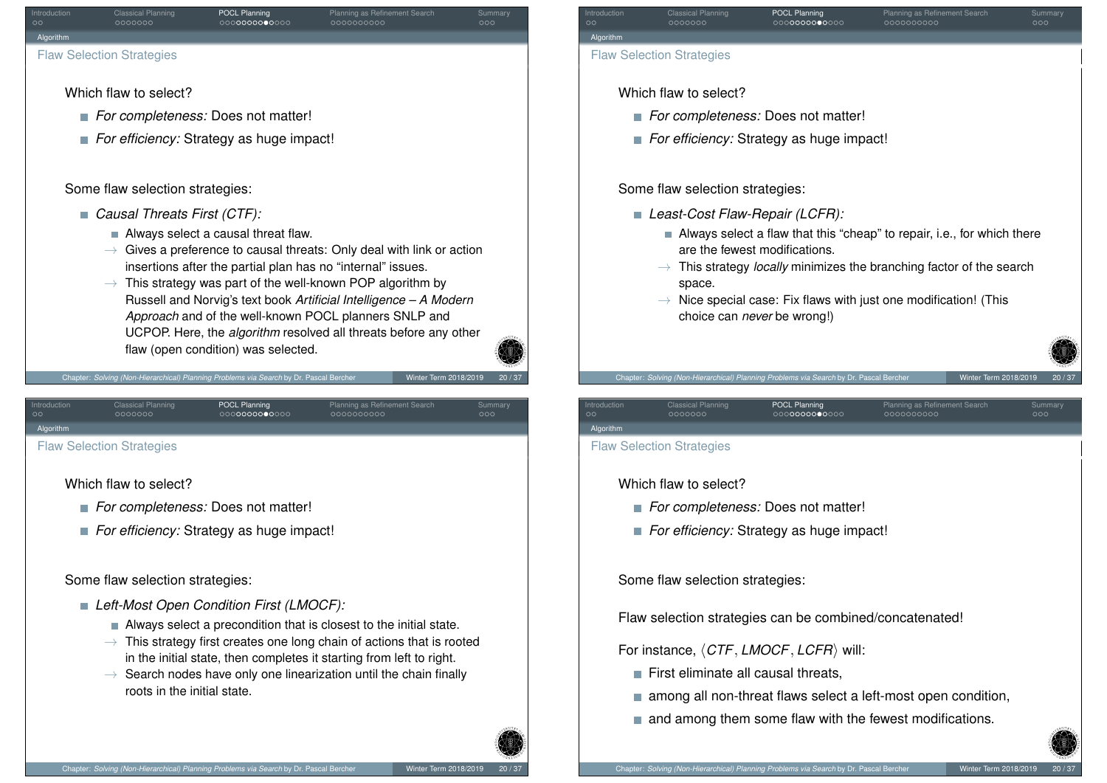

Chapter: *Solving (Non-Hierarchical) Planning Problems via Search* by Dr. Pascal Bercher Winter Term 2018/2019

flaw (open condition) was selected.

<span id="page-12-0"></span>Introduction Classical Planning **POCL Planning POCL Planning Planning as Refinement Search Summary** [Al](#page-0-0)gorithm [F](#page-5-0)law Se[lect](#page-1-0)[ion S](#page-3-0)trategies

Which flaw to select?

- **For completeness:** Does not matter!
- **For efficiency:** Strategy as huge impact!

Some flaw selection strategies:

# *Left-Most Open Condition First (LMOCF):*

- Always select a precondition that is closest to the initial state.
- $\rightarrow$  This strategy first creates one long chain of actions that is rooted in the initial state, then completes it starting from left to right.
- $\rightarrow$  Search nodes have only one linearization until the chain finally roots in the initial state.



Which flaw to select?

- *For completeness:* Does not matter!
- **For efficiency:** Strategy as huge impact!

Some flaw selection strategies:

- *Least-Cost Flaw-Repair (LCFR):*
	- Always select a flaw that this "cheap" to repair, i.e., for which there are the fewest modifications.
	- $\rightarrow$  This strategy *locally* minimizes the branching factor of the search space.
	- $\rightarrow$  Nice special case: Fix flaws with just one modification! (This choice can *never* be wrong!)

Introduction Classical Planning **POCL Planning POCL Planning Planning as Refinement Search Summary** 

Algorithm Flaw Selection Strategies

# Which flaw to select?

- **For completeness:** Does not matter!
- *For efficiency:* Strategy as huge impact!

ter: *Solving (Non-Hierarchical) Planning Problems via Search* by Dr. Pascal Ber

Some flaw selection strategies:

Flaw selection strategies can be combined/concatenated!

For instance,  $\langle CTF, LMOCF, LCFR \rangle$  will:

- $\blacksquare$  First eliminate all causal threats,
- among all non-threat flaws select a left-most open condition,
- $\blacksquare$  and among them some flaw with the fewest modifications.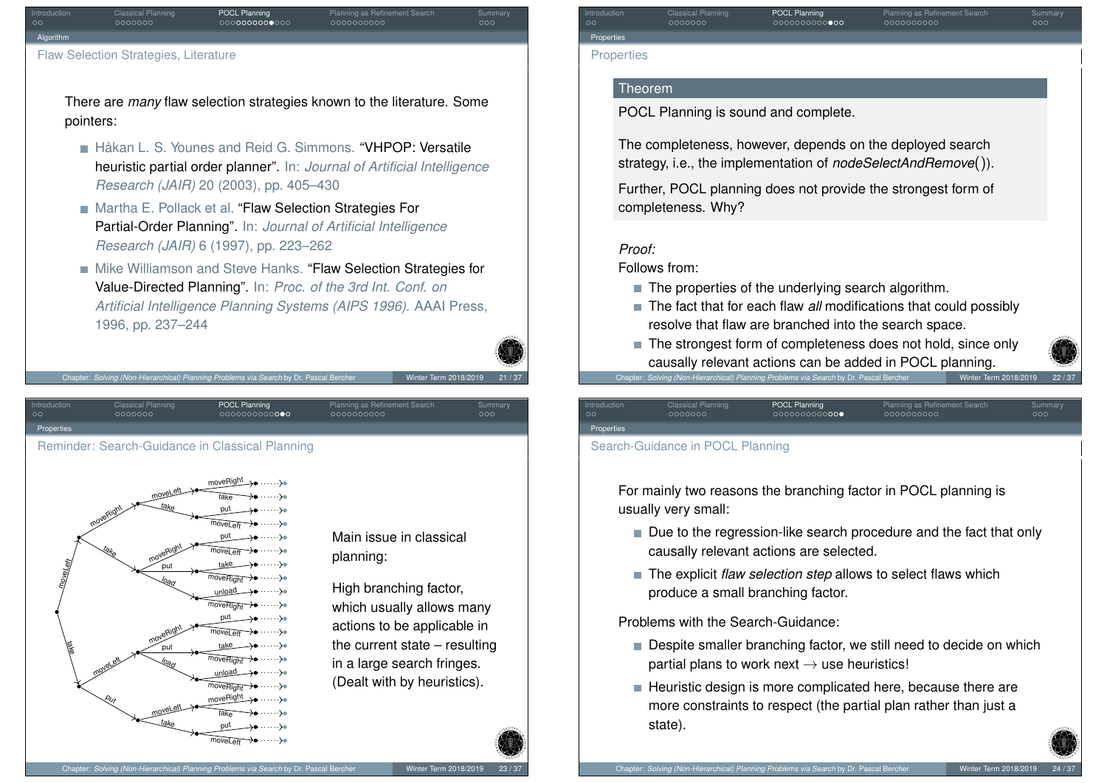

There are *many* flaw selection strategies known to the literature. Some pointers:

- **Hakan L. S. Younes and Reid G. Simmons. "VHPOP: Versatile** heuristic partial order planner". In: *Journal of Artificial Intelligence Research (JAIR)* 20 (2003), pp. 405–430
- Martha E. Pollack et al. "Flaw Selection Strategies For Partial-Order Planning". In: *Journal of Artificial Intelligence Research (JAIR)* 6 (1997), pp. 223–262
- Mike Williamson and Steve Hanks. "Flaw Selection Strategies for Value-Directed Planning". In: *Proc. of the 3rd Int. Conf. on Artificial Intelligence Planning Systems (AIPS 1996)*. AAAI Press, 1996, pp. 237–244

Chapter: *Solving (Non-Hierarchical) Planning Problems via Search* by Dr. Pascal Bercher Winter Term 2018/2019

Introduction Classical Planning **POCL Planning POCL Planning Planning as Refinement Search Summary** 

<span id="page-13-0"></span>

Main issue in classical planning:

High branching factor, which usually allows many actions to be applicable in the current state – resulting in a large search fringes. (Dealt with by heuristics).

Introduction **Classical Planning POCL Planning Prometal Planning as Refinement Search Summary Properties** 

### **Theorem**

Properties

POCL Planning is sound and complete.

The completeness, however, depends on the deployed search strategy, i.e., the implementation of *nodeSelectAndRemove*()).

Further, POCL planning does not provide the strongest form of completeness. Why?

# *Proof:*

Follows from:

- The properties of the underlying search algorithm.
- The fact that for each flaw *all* modifications that could possibly resolve that flaw are branched into the search space.
- The strongest form of completeness does not hold, since only causally relevant actions can be added in POCL planning. Chapter: *Solving (Non-Hierarchical) Planning Problems via Search* by Dr. Pascal Bercher

Introduction Classical Planning **POCL Planning POCL Planning Planning as Refinement Search Summary** Properties Search-Guidance in POCL Planning

For mainly two reasons the branching factor in POCL planning is usually very small:

- Due to the regression-like search procedure and the fact that only causally relevant actions are selected.
- The explicit *flaw selection step* allows to select flaws which produce a small branching factor.

Problems with the Search-Guidance:

- Despite smaller branching factor, we still need to decide on which partial plans to work next  $\rightarrow$  use heuristics!
- $\blacksquare$  Heuristic design is more complicated here, because there are more constraints to respect (the partial plan rather than just a state).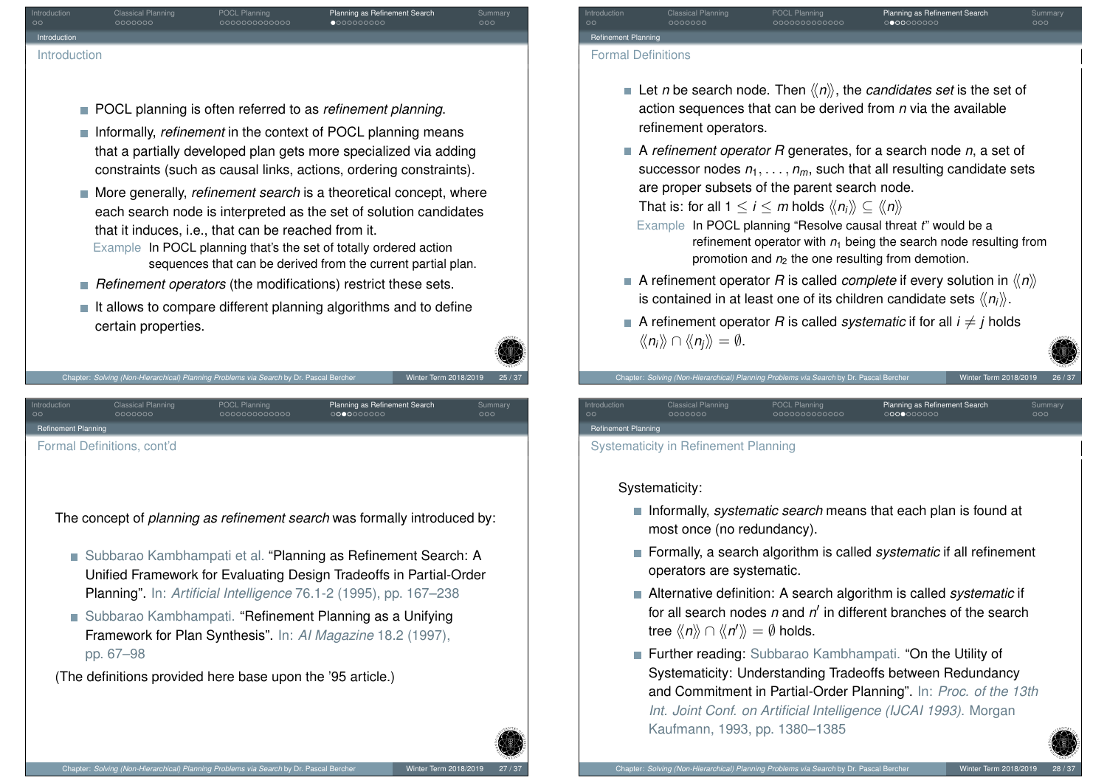

- POCL planning is often referred to as *refinement planning*.
- **Informally,** *refinement* in the context of POCL planning means that a partially developed plan gets more specialized via adding constraints (such as causal links, actions, ordering constraints).
- More generally, *refinement search* is a theoretical concept, where each search node is interpreted as the set of solution candidates that it induces, i.e., that can be reached from it. Example In POCL planning that's the set of totally ordered action sequences that can be derived from the current partial plan.
- **Refinement operators** (the modifications) restrict these sets.
- $\blacksquare$  It allows to compare different planning algorithms and to define certain properties.

<span id="page-14-0"></span>

Chapter: *Solving (Non-Hierarchical) Planning Problems via Search* by Dr. Pascal Bearch 101

The concept of *planning as refinement search* was formally introduced by:

- Subbarao Kambhampati et al. "Planning as Refinement Search: A Unified Framework for Evaluating Design Tradeoffs in Partial-Order Planning". In: *Artificial Intelligence* 76.1-2 (1995), pp. 167–238
- Subbarao Kambhampati. "Refinement Planning as a Unifying Framework for Plan Synthesis". In: *AI Magazine* 18.2 (1997), pp. 67–98

(The definitions provided here base upon the '95 article.)

Refinement Planning

Introduction **Classical Planning POCL Planning Commary** Planning as Refinement Search Summary

#### Formal Definitions

- Let *n* be search node. Then  $\langle n \rangle$ , the *candidates set* is the set of action sequences that can be derived from *n* via the available refinement operators.
- A *refinement operator R* generates, for a search node *n*, a set of successor nodes  $n_1, \ldots, n_m$ , such that all resulting candidate sets are proper subsets of the parent search node.

That is: for all  $1 \le i \le m$  holds  $\langle\langle n_i \rangle\rangle \subset \langle\langle n \rangle\rangle$ 

Chapter: *Solving (Non-Hierarchical) Planning Problems via Search* by Dr. Pascal B

- Example In POCL planning "Resolve causal threat *t*" would be a refinement operator with  $n_1$  being the search node resulting from promotion and  $n<sub>2</sub>$  the one resulting from demotion.
- A refinement operator *R* is called *complete* if every solution in  $\langle\langle n \rangle\rangle$ is contained in at least one of its children candidate sets  $\langle\langle n_i \rangle\rangle$ .
- A refinement operator *R* is called *systematic* if for all  $i \neq i$  holds  $\langle\langle n_i \rangle\rangle \cap \langle\langle n_i \rangle\rangle = \emptyset.$

Introduction Classical Planning POCL Planning Pousses Planning as Refinement Search Summary

Refinement Planning

Systematicity in Refinement Planning

Systematicity:

- **Informally,** *systematic search* means that each plan is found at most once (no redundancy).
- Formally, a search algorithm is called *systematic* if all refinement operators are systematic.
- Alternative definition: A search algorithm is called *systematic* if for all search nodes *n* and *n'* in different branches of the search tree  $\langle\!\langle n \rangle\!\rangle \cap \langle\!\langle n' \rangle\!\rangle = \emptyset$  holds.
- **Further reading:** Subbarao Kambhampati. "On the Utility of Systematicity: Understanding Tradeoffs between Redundancy and Commitment in Partial-Order Planning". In: *Proc. of the 13th Int. Joint Conf. on Artificial Intelligence (IJCAI 1993)*. Morgan Kaufmann, 1993, pp. 1380–1385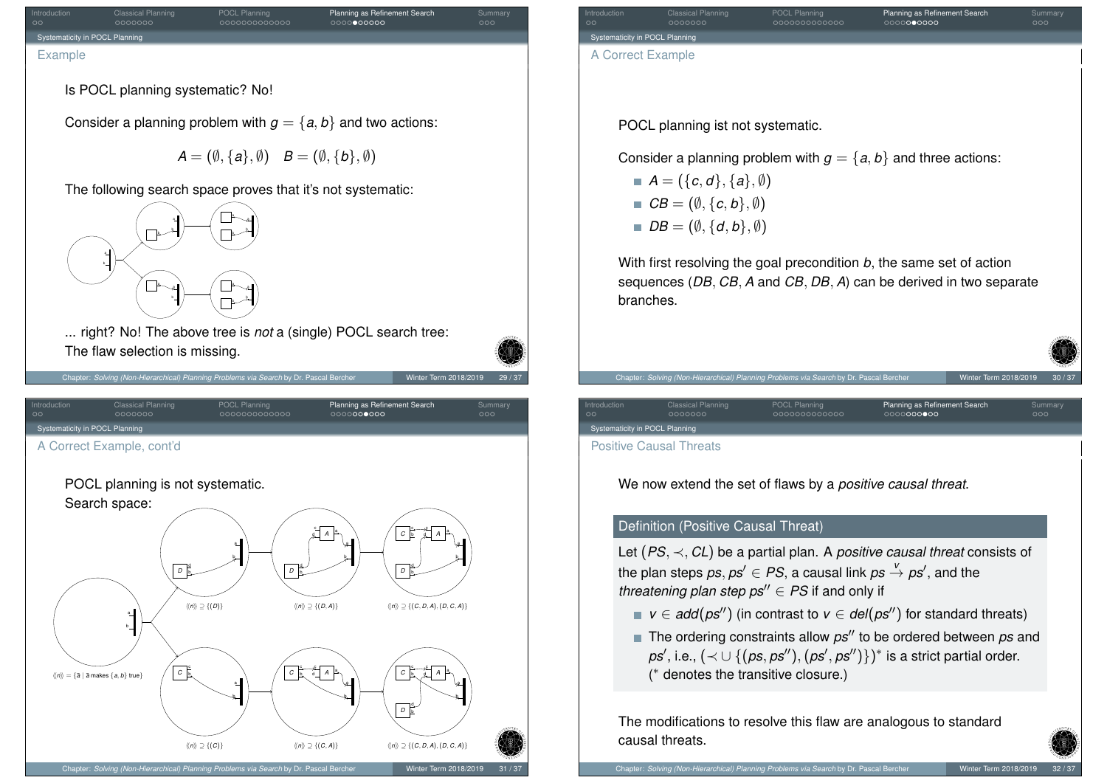<span id="page-15-0"></span>

Introduction **Classical Planning POCL Planning Commary** Planning as Refinement Search Summary naticity in POCL Plannin A Correct Example POCL planning ist not systematic. Consider a planning problem with  $g = \{a, b\}$  and three actions:  $A = (\{c, d\}, \{a\}, \emptyset)$  $\blacksquare$   $CB = (\emptyset, \{c, b\}, \emptyset)$  $\blacksquare$  *DB* =  $(\emptyset, \{d, b\}, \emptyset)$ With first resolving the goal precondition *b*, the same set of action sequences (*DB*, *CB*, *A* and *CB*, *DB*, *A*) can be derived in two separate branches. Chapter: *Solving (Non-Hierarchical) Planning Problems via Search* by Dr. Pascal Be Introduction Classical Planning POCL Planning Pousses Planning as Refinement Search Summary city in POCL Plannin Positive Causal Threats We now extend the set of flaws by a *positive causal threat*. Definition (Positive Causal Threat) Let (*PS*, ≺, *CL*) be a partial plan. A *positive causal threat* consists of the plan steps  $\mathit{ps}, \mathit{ps}' \in \mathit{PS},$  a causal link  $\mathit{ps} \overset{\nu}{\to} \mathit{ps}'$ , and the

*v*  $\in$  *add*(*ps*<sup>"</sup>) (in contrast to *v*  $\in$  *del*(*ps*<sup>"</sup>) for standard threats)

 $\blacksquare$  The ordering constraints allow  $ps''$  to be ordered between  $ps$  and  $p$ s', i.e.,  $(\prec\cup\, \{(ps,ps''),(ps',ps'')\})^*$  is a strict partial order. ( ∗ denotes the transitive closure.)

The modifications to resolve this flaw are analogous to standard causal threats.

*threatening plan step*  $ps'' \in PS$  *if and only if*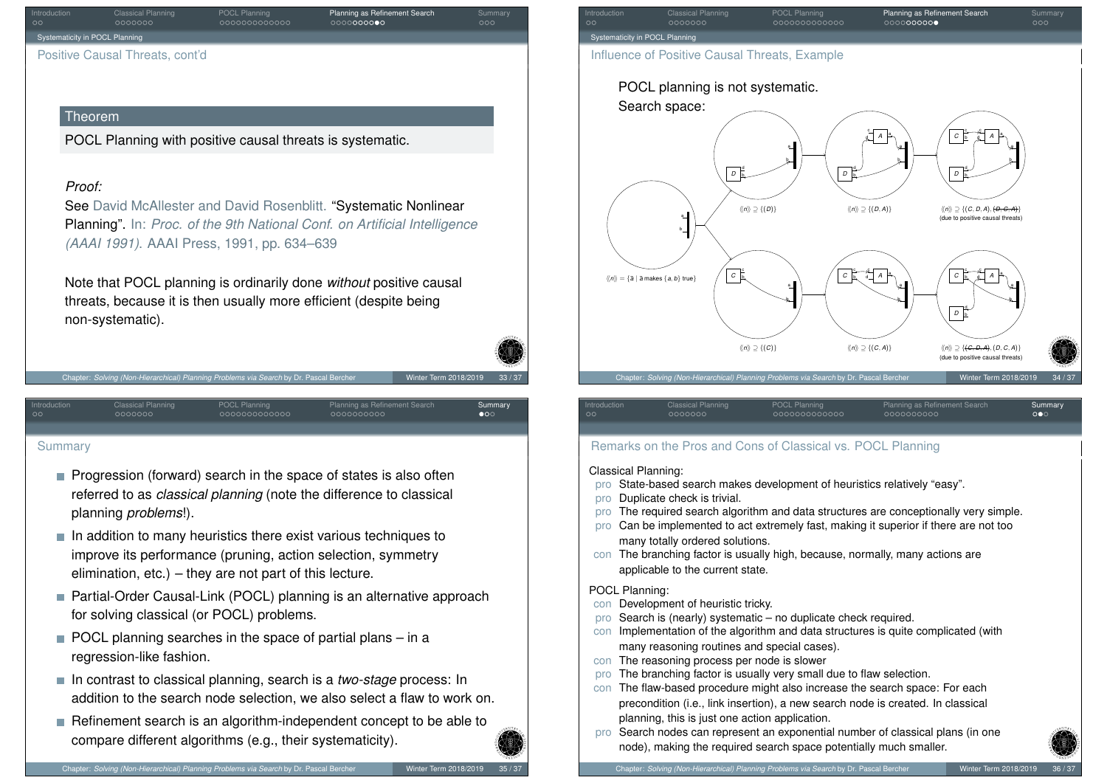| Introduction<br>$\circ$        | <b>Classical Planning</b><br>0000000 | <b>POCL Planning</b><br>0000000000000 | Planning as Refinement Search<br>0000000000 | Summary<br>000 |
|--------------------------------|--------------------------------------|---------------------------------------|---------------------------------------------|----------------|
| Systematicity in POCL Planning |                                      |                                       |                                             |                |
|                                | Positive Causal Threats, cont'd      |                                       |                                             |                |

### Theorem

POCL Planning with positive causal threats is systematic.

### *Proof:*

See David McAllester and David Rosenblitt. "Systematic Nonlinear Planning". In: *Proc. of the 9th National Conf. on Artificial Intelligence (AAAI 1991)*. AAAI Press, 1991, pp. 634–639

Note that POCL planning is ordinarily done *without* positive causal threats, because it is then usually more efficient (despite being non-systematic).

Introduction Classical Planning POCL Planning Pousses Planning as Refinement Search Summary

Chapter: *Solving (Non-Hierarchical) Planning Problems via Search* by Dr. Pascal Berch



#### [Summary](#page-15-0)

- **Progression (forward) search in the space of states is also often** referred to as *classical planning* (note the difference to classical planning *problems*!).
- $\blacksquare$  In addition to many heuristics there exist various techniques to improve its performance (pruning, action selection, symmetry elimination, etc.) – they are not part of this lecture.
- Partial-Order Causal-Link (POCL) planning is an alternative approach for solving classical (or POCL) problems.
- $\blacksquare$  POCL planning searches in the space of partial plans in a regression-like fashion.
- In contrast to classical planning, search is a *two-stage* process: In addition to the search node selection, we also select a flaw to work on.
- Refinement search is an algorithm-independent concept to be able to compare different algorithms (e.g., their systematicity).



| Introduction | Classical Planning | POCL Planning | Planning as Refinement Search | Summary               |
|--------------|--------------------|---------------|-------------------------------|-----------------------|
| $\circ$      | 0000000            | 0000000000000 | 0000000000                    | $\circ \bullet \circ$ |
|              |                    |               |                               |                       |

# Remarks on the Pros and Cons of Classical vs. POCL Planning

#### Classical Planning:

- pro State-based search makes development of heuristics relatively "easy".
- pro Duplicate check is trivial.
- pro The required search algorithm and data structures are conceptionally very simple.
- pro Can be implemented to act extremely fast, making it superior if there are not too many totally ordered solutions.
- con The branching factor is usually high, because, normally, many actions are applicable to the current state.

#### POCL Planning:

- con Development of heuristic tricky.
- pro Search is (nearly) systematic no duplicate check required.
- con Implementation of the algorithm and data structures is quite complicated (with many reasoning routines and special cases).
- con The reasoning process per node is slower
- pro The branching factor is usually very small due to flaw selection.
- con The flaw-based procedure might also increase the search space: For each precondition (i.e., link insertion), a new search node is created. In classical planning, this is just one action application.
- pro Search nodes can represent an exponential number of classical plans (in one node), making the required search space potentially much smaller.